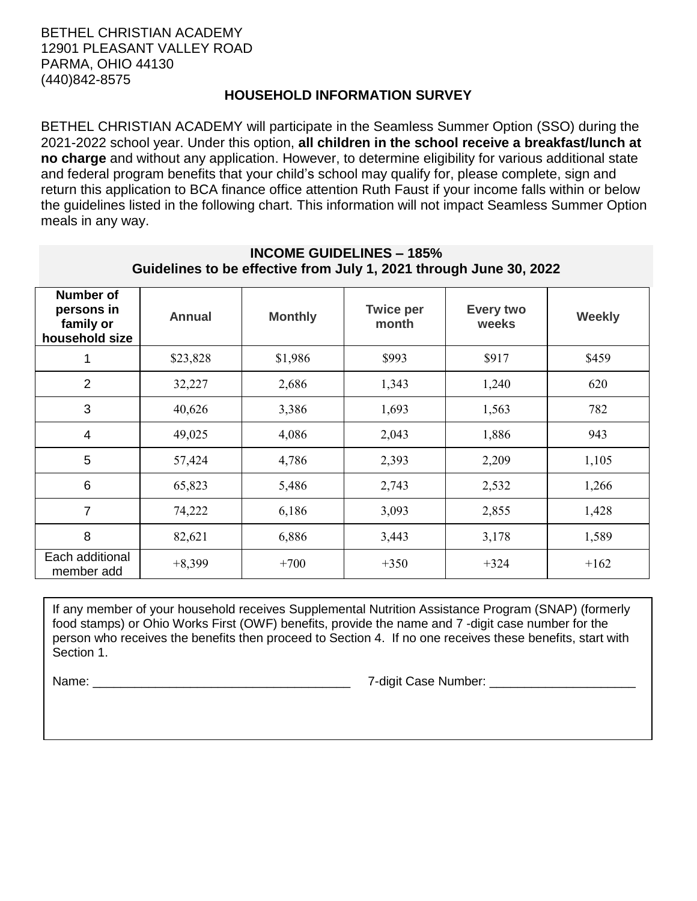## **HOUSEHOLD INFORMATION SURVEY**

BETHEL CHRISTIAN ACADEMY will participate in the Seamless Summer Option (SSO) during the 2021-2022 school year. Under this option, **all children in the school receive a breakfast/lunch at no charge** and without any application. However, to determine eligibility for various additional state and federal program benefits that your child's school may qualify for, please complete, sign and return this application to BCA finance office attention Ruth Faust if your income falls within or below the guidelines listed in the following chart. This information will not impact Seamless Summer Option meals in any way.

| <b>Number of</b><br>persons in<br>family or<br>household size | <b>Annual</b> | <b>Monthly</b> | <b>Twice per</b><br>month | <b>Every two</b><br>weeks | <b>Weekly</b> |
|---------------------------------------------------------------|---------------|----------------|---------------------------|---------------------------|---------------|
| 1                                                             | \$23,828      | \$1,986        | \$993                     | \$917                     | \$459         |
| $\overline{2}$                                                | 32,227        | 2,686          | 1,343                     | 1,240                     | 620           |
| 3                                                             | 40,626        | 3,386          | 1,693                     | 1,563                     | 782           |
| 4                                                             | 49,025        | 4,086          | 2,043                     | 1,886                     | 943           |
| 5                                                             | 57,424        | 4,786          | 2,393                     | 2,209                     | 1,105         |
| 6                                                             | 65,823        | 5,486          | 2,743                     | 2,532                     | 1,266         |
| $\overline{7}$                                                | 74,222        | 6,186          | 3,093                     | 2,855                     | 1,428         |
| 8                                                             | 82,621        | 6,886          | 3,443                     | 3,178                     | 1,589         |
| Each additional<br>member add                                 | $+8,399$      | $+700$         | $+350$                    | $+324$                    | $+162$        |

## **INCOME GUIDELINES – 185% Guidelines to be effective from July 1, 2021 through June 30, 2022**

If any member of your household receives Supplemental Nutrition Assistance Program (SNAP) (formerly food stamps) or Ohio Works First (OWF) benefits, provide the name and 7 -digit case number for the person who receives the benefits then proceed to Section 4. If no one receives these benefits, start with Section 1.

Name: \_\_\_\_\_\_\_\_\_\_\_\_\_\_\_\_\_\_\_\_\_\_\_\_\_\_\_\_\_\_\_\_\_\_\_\_\_ 7-digit Case Number: \_\_\_\_\_\_\_\_\_\_\_\_\_\_\_\_\_\_\_\_\_